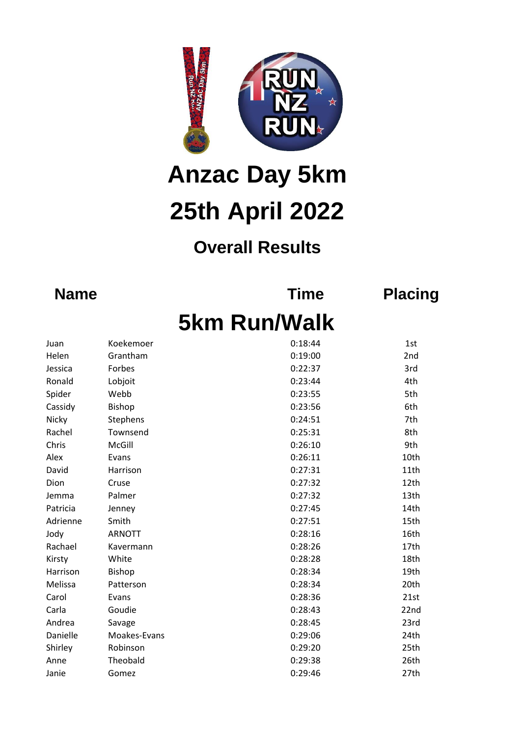

## **25th April 2022 Anzac Day 5km**

## **Overall Results**

**Name Time Placing**

## **5km Run/Walk**

| Juan     | Koekemoer     | 0:18:44 | 1st  |
|----------|---------------|---------|------|
| Helen    | Grantham      | 0:19:00 | 2nd  |
| Jessica  | Forbes        | 0:22:37 | 3rd  |
| Ronald   | Lobjoit       | 0:23:44 | 4th  |
| Spider   | Webb          | 0:23:55 | 5th  |
| Cassidy  | <b>Bishop</b> | 0:23:56 | 6th  |
| Nicky    | Stephens      | 0:24:51 | 7th  |
| Rachel   | Townsend      | 0:25:31 | 8th  |
| Chris    | McGill        | 0:26:10 | 9th  |
| Alex     | Evans         | 0:26:11 | 10th |
| David    | Harrison      | 0:27:31 | 11th |
| Dion     | Cruse         | 0:27:32 | 12th |
| Jemma    | Palmer        | 0:27:32 | 13th |
| Patricia | Jenney        | 0:27:45 | 14th |
| Adrienne | Smith         | 0:27:51 | 15th |
| Jody     | <b>ARNOTT</b> | 0:28:16 | 16th |
| Rachael  | Kavermann     | 0:28:26 | 17th |
| Kirsty   | White         | 0:28:28 | 18th |
| Harrison | <b>Bishop</b> | 0:28:34 | 19th |
| Melissa  | Patterson     | 0:28:34 | 20th |
| Carol    | Evans         | 0:28:36 | 21st |
| Carla    | Goudie        | 0:28:43 | 22nd |
| Andrea   | Savage        | 0:28:45 | 23rd |
| Danielle | Moakes-Evans  | 0:29:06 | 24th |
| Shirley  | Robinson      | 0:29:20 | 25th |
| Anne     | Theobald      | 0:29:38 | 26th |
| Janie    | Gomez         | 0:29:46 | 27th |
|          |               |         |      |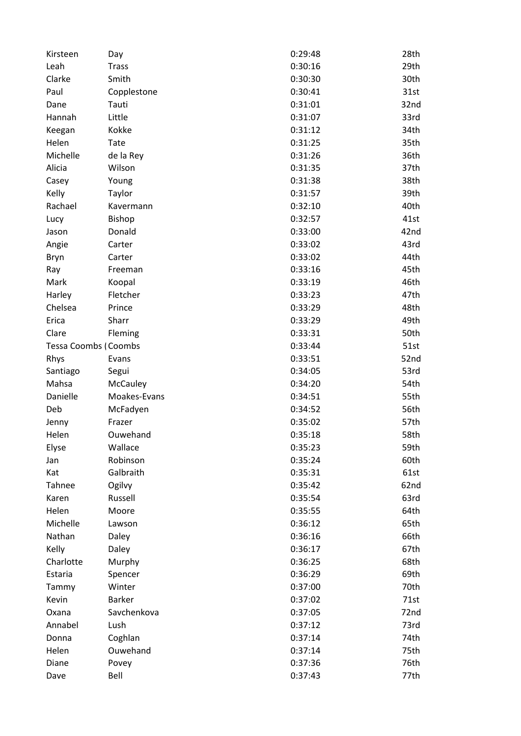| Kirsteen                    | Day             | 0:29:48 | 28th |
|-----------------------------|-----------------|---------|------|
| Leah                        | <b>Trass</b>    | 0:30:16 | 29th |
| Clarke                      | Smith           | 0:30:30 | 30th |
| Paul                        | Copplestone     | 0:30:41 | 31st |
| Dane                        | Tauti           | 0:31:01 | 32nd |
| Hannah                      | Little          | 0:31:07 | 33rd |
| Keegan                      | Kokke           | 0:31:12 | 34th |
| Helen                       | Tate            | 0:31:25 | 35th |
| Michelle                    | de la Rey       | 0:31:26 | 36th |
| Alicia                      | Wilson          | 0:31:35 | 37th |
| Casey                       | Young           | 0:31:38 | 38th |
| Kelly                       | Taylor          | 0:31:57 | 39th |
| Rachael                     | Kavermann       | 0:32:10 | 40th |
| Lucy                        | Bishop          | 0:32:57 | 41st |
| Jason                       | Donald          | 0:33:00 | 42nd |
| Angie                       | Carter          | 0:33:02 | 43rd |
| Bryn                        | Carter          | 0:33:02 | 44th |
| Ray                         | Freeman         | 0:33:16 | 45th |
| Mark                        | Koopal          | 0:33:19 | 46th |
| Harley                      | Fletcher        | 0:33:23 | 47th |
| Chelsea                     | Prince          | 0:33:29 | 48th |
| Erica                       | Sharr           | 0:33:29 | 49th |
| Clare                       | Fleming         | 0:33:31 | 50th |
| <b>Tessa Coombs (Coombs</b> |                 | 0:33:44 | 51st |
| Rhys                        | Evans           | 0:33:51 | 52nd |
| Santiago                    | Segui           | 0:34:05 | 53rd |
| Mahsa                       | <b>McCauley</b> | 0:34:20 | 54th |
| Danielle                    | Moakes-Evans    | 0:34:51 | 55th |
| Deb                         |                 |         | 56th |
|                             | McFadyen        | 0:34:52 | 57th |
| Jenny                       | Frazer          | 0:35:02 |      |
| Helen                       | Ouwehand        | 0:35:18 | 58th |
| Elyse                       | Wallace         | 0:35:23 | 59th |
| Jan                         | Robinson        | 0:35:24 | 60th |
| Kat                         | Galbraith       | 0:35:31 | 61st |
| Tahnee                      | Ogilvy          | 0:35:42 | 62nd |
| Karen                       | Russell         | 0:35:54 | 63rd |
| Helen                       | Moore           | 0:35:55 | 64th |
| Michelle                    | Lawson          | 0:36:12 | 65th |
| Nathan                      | Daley           | 0:36:16 | 66th |
| Kelly                       | Daley           | 0:36:17 | 67th |
| Charlotte                   | Murphy          | 0:36:25 | 68th |
| Estaria                     | Spencer         | 0:36:29 | 69th |
| Tammy                       | Winter          | 0:37:00 | 70th |
| Kevin                       | <b>Barker</b>   | 0:37:02 | 71st |
| Oxana                       | Savchenkova     | 0:37:05 | 72nd |
| Annabel                     | Lush            | 0:37:12 | 73rd |
| Donna                       | Coghlan         | 0:37:14 | 74th |
| Helen                       | Ouwehand        | 0:37:14 | 75th |
| Diane                       | Povey           | 0:37:36 | 76th |
| Dave                        | Bell            | 0:37:43 | 77th |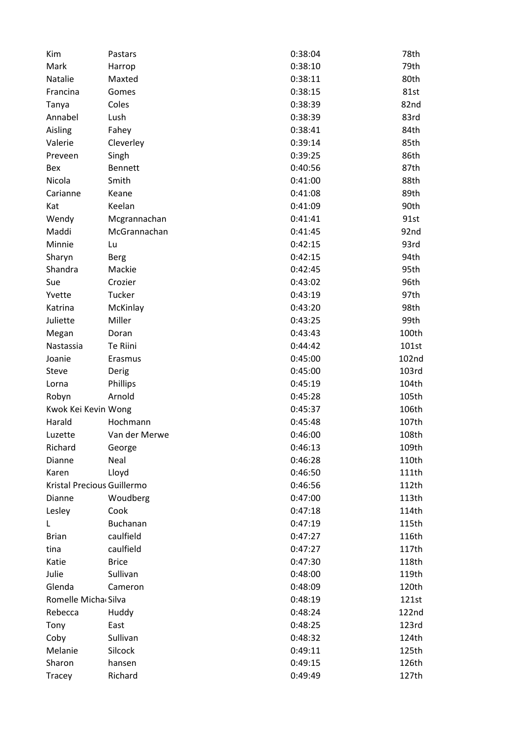| Kim                        | Pastars       | 0:38:04 | 78th              |
|----------------------------|---------------|---------|-------------------|
| Mark                       | Harrop        | 0:38:10 | 79th              |
| Natalie                    | Maxted        | 0:38:11 | 80th              |
| Francina                   | Gomes         | 0:38:15 | 81st              |
| Tanya                      | Coles         | 0:38:39 | 82nd              |
| Annabel                    | Lush          | 0:38:39 | 83rd              |
| Aisling                    | Fahey         | 0:38:41 | 84th              |
| Valerie                    | Cleverley     | 0:39:14 | 85th              |
| Preveen                    | Singh         | 0:39:25 | 86th              |
| Bex                        | Bennett       | 0:40:56 | 87th              |
| Nicola                     | Smith         | 0:41:00 | 88th              |
| Carianne                   | Keane         | 0:41:08 | 89th              |
| Kat                        | Keelan        | 0:41:09 | 90th              |
| Wendy                      | Mcgrannachan  | 0:41:41 | 91st              |
| Maddi                      | McGrannachan  | 0:41:45 | 92nd              |
| Minnie                     | Lu            | 0:42:15 | 93rd              |
| Sharyn                     | <b>Berg</b>   | 0:42:15 | 94th              |
| Shandra                    | Mackie        | 0:42:45 | 95th              |
| Sue                        | Crozier       | 0:43:02 | 96th              |
| Yvette                     | Tucker        | 0:43:19 | 97th              |
| Katrina                    | McKinlay      | 0:43:20 | 98th              |
| Juliette                   | Miller        | 0:43:25 | 99th              |
| Megan                      | Doran         | 0:43:43 | 100th             |
| Nastassia                  | Te Riini      | 0:44:42 | 101st             |
| Joanie                     | Erasmus       | 0:45:00 | 102 <sub>nd</sub> |
| Steve                      | Derig         | 0:45:00 | 103rd             |
|                            |               | 0:45:19 | 104th             |
| Lorna                      | Phillips      |         |                   |
| Robyn                      | Arnold        | 0:45:28 | 105th             |
| Kwok Kei Kevin Wong        | Hochmann      | 0:45:37 | 106th             |
| Harald                     |               | 0:45:48 | 107th             |
| Luzette                    | Van der Merwe | 0:46:00 | 108th             |
| Richard                    | George        | 0:46:13 | 109th             |
| Dianne                     | Neal          | 0:46:28 | 110th             |
| Karen                      | Lloyd         | 0:46:50 | 111th             |
| Kristal Precious Guillermo |               | 0:46:56 | 112th             |
| Dianne                     | Woudberg      | 0:47:00 | 113th             |
| Lesley                     | Cook          | 0:47:18 | 114th             |
| L                          | Buchanan      | 0:47:19 | 115th             |
| <b>Brian</b>               | caulfield     | 0:47:27 | 116th             |
| tina                       | caulfield     | 0:47:27 | 117th             |
| Katie                      | <b>Brice</b>  | 0:47:30 | 118th             |
| Julie                      | Sullivan      | 0:48:00 | 119th             |
| Glenda                     | Cameron       | 0:48:09 | 120th             |
| Romelle Micha Silva        |               | 0:48:19 | 121st             |
| Rebecca                    | Huddy         | 0:48:24 | 122nd             |
| Tony                       | East          | 0:48:25 | 123rd             |
| Coby                       | Sullivan      | 0:48:32 | 124th             |
| Melanie                    | Silcock       | 0:49:11 | 125th             |
| Sharon                     | hansen        | 0:49:15 | 126th             |
| Tracey                     | Richard       | 0:49:49 | 127th             |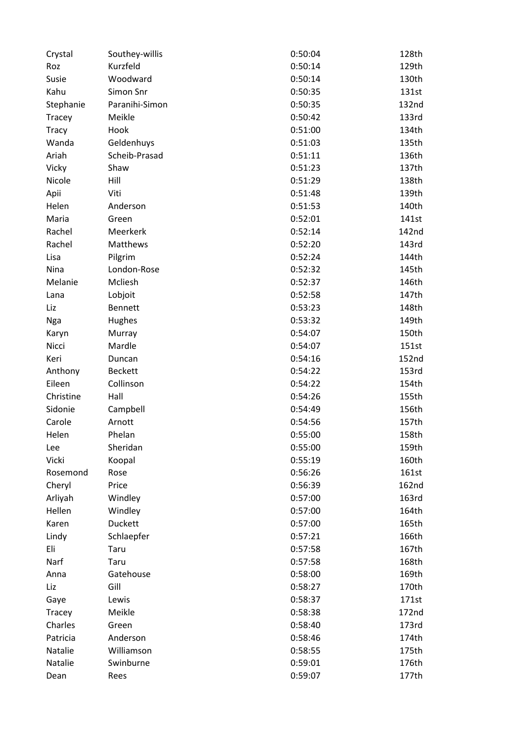| Crystal      | Southey-willis | 0:50:04 | 128th |
|--------------|----------------|---------|-------|
| Roz          | Kurzfeld       | 0:50:14 | 129th |
| Susie        | Woodward       | 0:50:14 | 130th |
| Kahu         | Simon Snr      | 0:50:35 | 131st |
| Stephanie    | Paranihi-Simon | 0:50:35 | 132nd |
| Tracey       | Meikle         | 0:50:42 | 133rd |
| <b>Tracy</b> | Hook           | 0:51:00 | 134th |
| Wanda        | Geldenhuys     | 0:51:03 | 135th |
| Ariah        | Scheib-Prasad  | 0:51:11 | 136th |
| Vicky        | Shaw           | 0:51:23 | 137th |
| Nicole       | Hill           | 0:51:29 | 138th |
| Apii         | Viti           | 0:51:48 | 139th |
| Helen        | Anderson       | 0:51:53 | 140th |
| Maria        | Green          | 0:52:01 | 141st |
| Rachel       | Meerkerk       | 0:52:14 | 142nd |
| Rachel       | Matthews       | 0:52:20 | 143rd |
| Lisa         | Pilgrim        | 0:52:24 | 144th |
| Nina         | London-Rose    | 0:52:32 | 145th |
| Melanie      | Mcliesh        | 0:52:37 | 146th |
| Lana         | Lobjoit        | 0:52:58 | 147th |
| Liz          | <b>Bennett</b> | 0:53:23 | 148th |
| <b>Nga</b>   | Hughes         | 0:53:32 | 149th |
| Karyn        | Murray         | 0:54:07 | 150th |
| Nicci        | Mardle         | 0:54:07 | 151st |
| Keri         | Duncan         | 0:54:16 | 152nd |
| Anthony      | <b>Beckett</b> | 0:54:22 | 153rd |
| Eileen       | Collinson      | 0:54:22 | 154th |
| Christine    | Hall           | 0:54:26 | 155th |
| Sidonie      | Campbell       | 0:54:49 | 156th |
| Carole       | Arnott         | 0:54:56 | 157th |
| Helen        | Phelan         | 0:55:00 | 158th |
| Lee          | Sheridan       | 0:55:00 | 159th |
| Vicki        | Koopal         | 0:55:19 | 160th |
| Rosemond     | Rose           | 0:56:26 | 161st |
| Cheryl       | Price          | 0:56:39 | 162nd |
| Arliyah      | Windley        | 0:57:00 | 163rd |
| Hellen       | Windley        | 0:57:00 | 164th |
| Karen        | Duckett        | 0:57:00 | 165th |
| Lindy        | Schlaepfer     | 0:57:21 | 166th |
| Eli          | Taru           | 0:57:58 | 167th |
| Narf         | Taru           | 0:57:58 | 168th |
| Anna         | Gatehouse      | 0:58:00 | 169th |
| Liz          | Gill           | 0:58:27 | 170th |
| Gaye         | Lewis          | 0:58:37 | 171st |
| Tracey       | Meikle         | 0:58:38 | 172nd |
| Charles      | Green          | 0:58:40 | 173rd |
| Patricia     | Anderson       | 0:58:46 | 174th |
| Natalie      | Williamson     | 0:58:55 | 175th |
| Natalie      | Swinburne      | 0:59:01 | 176th |
|              |                |         |       |
| Dean         | Rees           | 0:59:07 | 177th |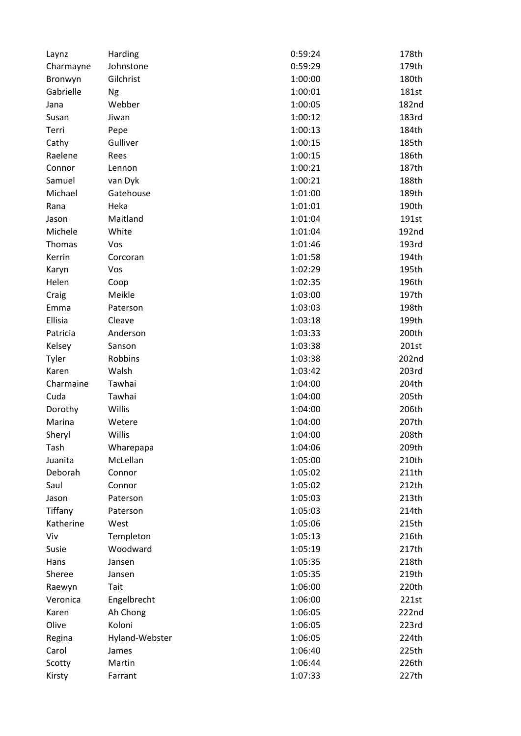| Laynz     | Harding        | 0:59:24 | 178th |
|-----------|----------------|---------|-------|
| Charmayne | Johnstone      | 0:59:29 | 179th |
| Bronwyn   | Gilchrist      | 1:00:00 | 180th |
| Gabrielle | Ng             | 1:00:01 | 181st |
| Jana      | Webber         | 1:00:05 | 182nd |
| Susan     | Jiwan          | 1:00:12 | 183rd |
| Terri     | Pepe           | 1:00:13 | 184th |
| Cathy     | Gulliver       | 1:00:15 | 185th |
| Raelene   | Rees           | 1:00:15 | 186th |
| Connor    | Lennon         | 1:00:21 | 187th |
| Samuel    | van Dyk        | 1:00:21 | 188th |
| Michael   | Gatehouse      | 1:01:00 | 189th |
| Rana      | Heka           | 1:01:01 | 190th |
| Jason     | Maitland       | 1:01:04 | 191st |
| Michele   | White          | 1:01:04 | 192nd |
| Thomas    | Vos            | 1:01:46 | 193rd |
| Kerrin    | Corcoran       | 1:01:58 | 194th |
| Karyn     | Vos            | 1:02:29 | 195th |
| Helen     | Coop           | 1:02:35 | 196th |
| Craig     | Meikle         | 1:03:00 | 197th |
| Emma      | Paterson       | 1:03:03 | 198th |
| Ellisia   | Cleave         | 1:03:18 | 199th |
| Patricia  | Anderson       | 1:03:33 | 200th |
| Kelsey    | Sanson         | 1:03:38 | 201st |
| Tyler     | Robbins        | 1:03:38 | 202nd |
| Karen     | Walsh          | 1:03:42 | 203rd |
| Charmaine | Tawhai         | 1:04:00 | 204th |
| Cuda      | Tawhai         | 1:04:00 | 205th |
| Dorothy   | Willis         | 1:04:00 | 206th |
| Marina    | Wetere         | 1:04:00 | 207th |
| Sheryl    | Willis         | 1:04:00 | 208th |
| Tash      | Wharepapa      | 1:04:06 | 209th |
| Juanita   | McLellan       | 1:05:00 | 210th |
| Deborah   | Connor         | 1:05:02 | 211th |
| Saul      | Connor         | 1:05:02 | 212th |
| Jason     | Paterson       | 1:05:03 | 213th |
| Tiffany   | Paterson       | 1:05:03 | 214th |
| Katherine | West           | 1:05:06 | 215th |
| Viv       | Templeton      | 1:05:13 | 216th |
| Susie     | Woodward       | 1:05:19 | 217th |
| Hans      | Jansen         | 1:05:35 | 218th |
| Sheree    | Jansen         | 1:05:35 | 219th |
| Raewyn    | Tait           | 1:06:00 | 220th |
| Veronica  | Engelbrecht    | 1:06:00 | 221st |
| Karen     | Ah Chong       | 1:06:05 | 222nd |
| Olive     | Koloni         | 1:06:05 | 223rd |
| Regina    | Hyland-Webster | 1:06:05 | 224th |
| Carol     | James          | 1:06:40 | 225th |
| Scotty    | Martin         | 1:06:44 | 226th |
|           |                |         |       |
| Kirsty    | Farrant        | 1:07:33 | 227th |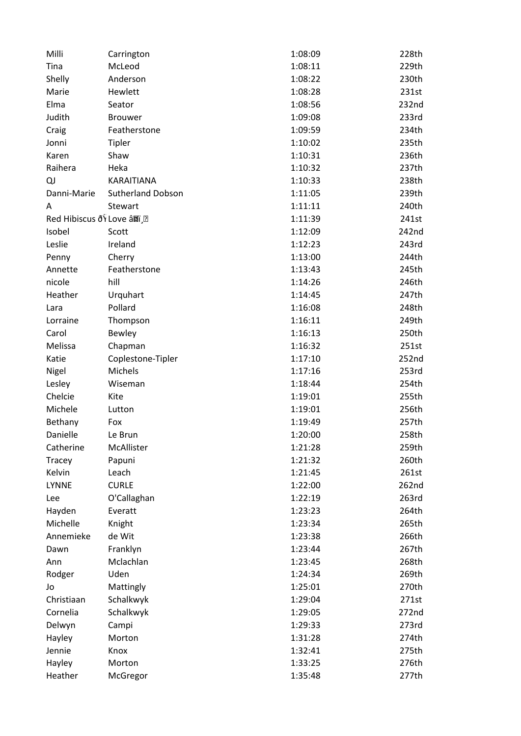| Milli                       | Carrington               | 1:08:09 | 228th |
|-----------------------------|--------------------------|---------|-------|
| Tina                        | McLeod                   | 1:08:11 | 229th |
| Shelly                      | Anderson                 | 1:08:22 | 230th |
| Marie                       | Hewlett                  | 1:08:28 | 231st |
| Elma                        | Seator                   | 1:08:56 | 232nd |
| Judith                      | <b>Brouwer</b>           | 1:09:08 | 233rd |
| Craig                       | Featherstone             | 1:09:59 | 234th |
| Jonni                       | <b>Tipler</b>            | 1:10:02 | 235th |
| Karen                       | Shaw                     | 1:10:31 | 236th |
| Raihera                     | Heka                     | 1:10:32 | 237th |
| QJ                          | KARAITIANA               | 1:10:33 | 238th |
| Danni-Marie                 | <b>Sutherland Dobson</b> | 1:11:05 | 239th |
| A                           | Stewart                  | 1:11:11 | 240th |
| Red Hibiscus ðŸ Love â¤ï .• |                          | 1:11:39 | 241st |
| Isobel                      | Scott                    | 1:12:09 | 242nd |
| Leslie                      | Ireland                  | 1:12:23 | 243rd |
| Penny                       | Cherry                   | 1:13:00 | 244th |
| Annette                     | Featherstone             | 1:13:43 | 245th |
| nicole                      | hill                     | 1:14:26 | 246th |
| Heather                     | Urquhart                 | 1:14:45 | 247th |
| Lara                        | Pollard                  | 1:16:08 | 248th |
| Lorraine                    | Thompson                 | 1:16:11 | 249th |
| Carol                       | <b>Bewley</b>            | 1:16:13 | 250th |
| Melissa                     | Chapman                  | 1:16:32 | 251st |
| Katie                       | Coplestone-Tipler        | 1:17:10 | 252nd |
| Nigel                       | Michels                  | 1:17:16 | 253rd |
| Lesley                      | Wiseman                  | 1:18:44 | 254th |
| Chelcie                     | Kite                     | 1:19:01 | 255th |
| Michele                     | Lutton                   | 1:19:01 | 256th |
| Bethany                     | Fox                      | 1:19:49 | 257th |
| Danielle                    | Le Brun                  | 1:20:00 | 258th |
| Catherine                   | McAllister               | 1:21:28 | 259th |
| Tracey                      | Papuni                   | 1:21:32 | 260th |
| Kelvin                      | Leach                    | 1:21:45 | 261st |
| <b>LYNNE</b>                | <b>CURLE</b>             | 1:22:00 | 262nd |
| Lee                         | O'Callaghan              | 1:22:19 | 263rd |
| Hayden                      | Everatt                  | 1:23:23 | 264th |
| Michelle                    |                          | 1:23:34 | 265th |
| Annemieke                   | Knight<br>de Wit         | 1:23:38 |       |
|                             |                          |         | 266th |
| Dawn                        | Franklyn                 | 1:23:44 | 267th |
| Ann                         | Mclachlan                | 1:23:45 | 268th |
| Rodger                      | Uden                     | 1:24:34 | 269th |
| Jo                          | Mattingly                | 1:25:01 | 270th |
| Christiaan                  | Schalkwyk                | 1:29:04 | 271st |
| Cornelia                    | Schalkwyk                | 1:29:05 | 272nd |
| Delwyn                      | Campi                    | 1:29:33 | 273rd |
| Hayley                      | Morton                   | 1:31:28 | 274th |
| Jennie                      | Knox                     | 1:32:41 | 275th |
| Hayley                      | Morton                   | 1:33:25 | 276th |
| Heather                     | McGregor                 | 1:35:48 | 277th |